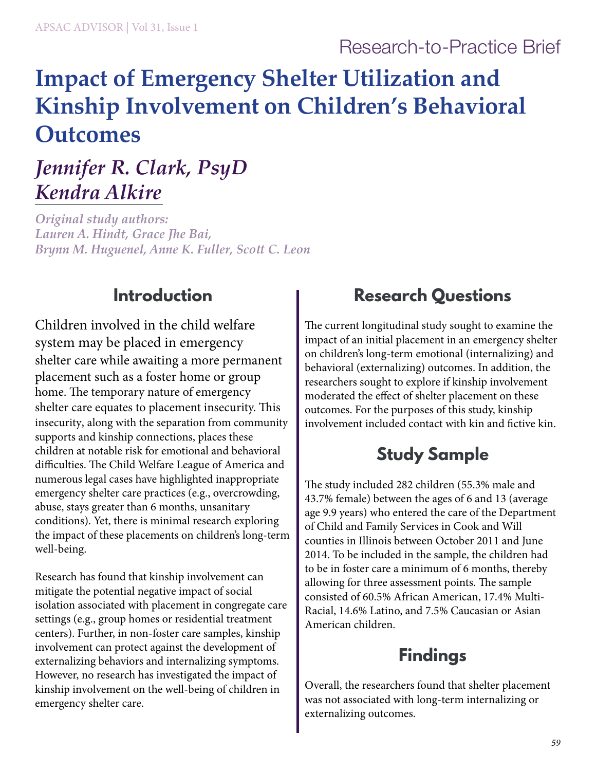### Research-to-Practice Brief

# **Impact of Emergency Shelter Utilization and Kinship Involvement on Children's Behavioral Outcomes**

## *Jennifer R. Clark, PsyD Kendra Alkire*

*Original study authors: Lauren A. Hindt, Grace Jhe Bai, Brynn M. Huguenel, Anne K. Fuller, Scott C. Leon*

### **Introduction**

Children involved in the child welfare system may be placed in emergency shelter care while awaiting a more permanent placement such as a foster home or group home. The temporary nature of emergency shelter care equates to placement insecurity. This insecurity, along with the separation from community supports and kinship connections, places these children at notable risk for emotional and behavioral difficulties. The Child Welfare League of America and numerous legal cases have highlighted inappropriate emergency shelter care practices (e.g., overcrowding, abuse, stays greater than 6 months, unsanitary conditions). Yet, there is minimal research exploring the impact of these placements on children's long-term well-being.

Research has found that kinship involvement can mitigate the potential negative impact of social isolation associated with placement in congregate care settings (e.g., group homes or residential treatment centers). Further, in non-foster care samples, kinship involvement can protect against the development of externalizing behaviors and internalizing symptoms. However, no research has investigated the impact of kinship involvement on the well-being of children in emergency shelter care.

### **Research Questions**

The current longitudinal study sought to examine the impact of an initial placement in an emergency shelter on children's long-term emotional (internalizing) and behavioral (externalizing) outcomes. In addition, the researchers sought to explore if kinship involvement moderated the effect of shelter placement on these outcomes. For the purposes of this study, kinship involvement included contact with kin and fictive kin.

### **Study Sample**

The study included 282 children (55.3% male and 43.7% female) between the ages of 6 and 13 (average age 9.9 years) who entered the care of the Department of Child and Family Services in Cook and Will counties in Illinois between October 2011 and June 2014. To be included in the sample, the children had to be in foster care a minimum of 6 months, thereby allowing for three assessment points. The sample consisted of 60.5% African American, 17.4% Multi-Racial, 14.6% Latino, and 7.5% Caucasian or Asian American children.

### **Findings**

Overall, the researchers found that shelter placement was not associated with long-term internalizing or externalizing outcomes.